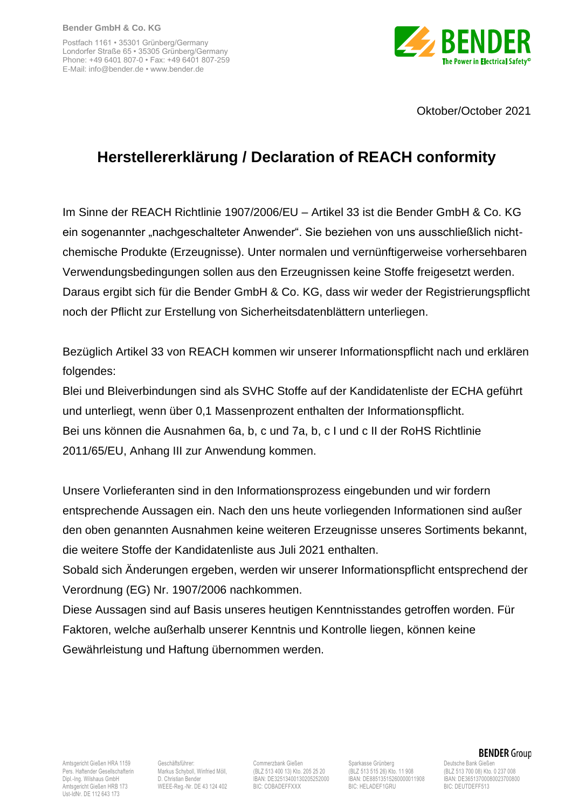Postfach 1161 • 35301 Grünberg/Germany Londorfer Straße 65 • 35305 Grünberg/Germany Phone: +49 6401 807-0 • Fax: +49 6401 807-259 E-Mail: info@bender.de • www.bender.de



Oktober/October 2021

## **Herstellererklärung / Declaration of REACH conformity**

Im Sinne der REACH Richtlinie 1907/2006/EU – Artikel 33 ist die Bender GmbH & Co. KG ein sogenannter "nachgeschalteter Anwender". Sie beziehen von uns ausschließlich nichtchemische Produkte (Erzeugnisse). Unter normalen und vernünftigerweise vorhersehbaren Verwendungsbedingungen sollen aus den Erzeugnissen keine Stoffe freigesetzt werden. Daraus ergibt sich für die Bender GmbH & Co. KG, dass wir weder der Registrierungspflicht noch der Pflicht zur Erstellung von Sicherheitsdatenblättern unterliegen.

Bezüglich Artikel 33 von REACH kommen wir unserer Informationspflicht nach und erklären folgendes:

Blei und Bleiverbindungen sind als SVHC Stoffe auf der Kandidatenliste der ECHA geführt und unterliegt, wenn über 0,1 Massenprozent enthalten der Informationspflicht. Bei uns können die Ausnahmen 6a, b, c und 7a, b, c I und c II der RoHS Richtlinie 2011/65/EU, Anhang III zur Anwendung kommen.

Unsere Vorlieferanten sind in den Informationsprozess eingebunden und wir fordern entsprechende Aussagen ein. Nach den uns heute vorliegenden Informationen sind außer den oben genannten Ausnahmen keine weiteren Erzeugnisse unseres Sortiments bekannt, die weitere Stoffe der Kandidatenliste aus Juli 2021 enthalten.

Sobald sich Änderungen ergeben, werden wir unserer Informationspflicht entsprechend der Verordnung (EG) Nr. 1907/2006 nachkommen.

Diese Aussagen sind auf Basis unseres heutigen Kenntnisstandes getroffen worden. Für Faktoren, welche außerhalb unserer Kenntnis und Kontrolle liegen, können keine Gewährleistung und Haftung übernommen werden.

Ust-IdNr. DE 112 643 173

WEEE-Reg.-Nr. DE 43 124 402

Amtsgericht Gießen HRA 1159 Geschäftsführer: Commerzbank Gießen Sparkasse Grünberg Deutsche Bank Gießen Deutsche Bank Gießen Deutsche Bank Gießen Deutsche Bank Gießen Deutsche Bank Gießen Deutsche Bank Gießen Deutsche Deut Dipl.-Ing. Wilshaus GmbH D. Christian Bender IBAN: DE32513400130205252000 IBAN: DE88513515260000011908 IBAN: DE36513700080023700800

Pers. Haftender Gesellschafterin Markus Schyboll, Winfried Möll, (BLZ 513 400 13) Kto. 205 25 20 (BLZ 513 515 26) Kto. 11 908 (BLZ 513 700 08) Kto. 0 237 008 (BLZ 513 700 08) Kto. 0 237 008 (BLZ 513 700 08) Kto. 0 237 008

## **BENDER** Group